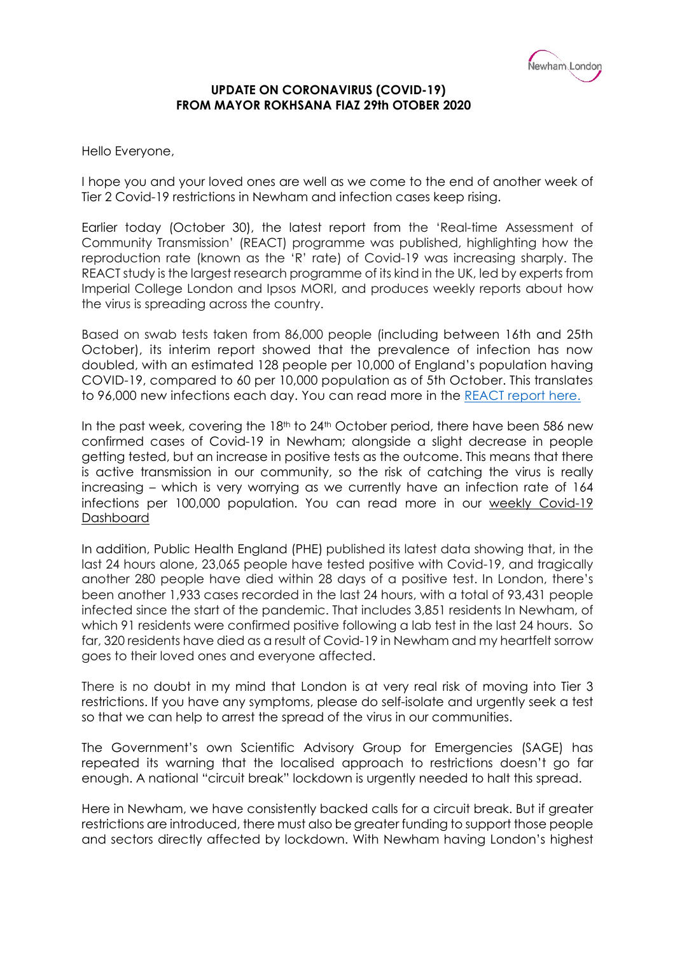

## **UPDATE ON CORONAVIRUS (COVID-19) FROM MAYOR ROKHSANA FIAZ 29th OTOBER 2020**

Hello Everyone,

I hope you and your loved ones are well as we come to the end of another week of Tier 2 Covid-19 restrictions in Newham and infection cases keep rising.

Earlier today (October 30), the latest report from the 'Real-time Assessment of Community Transmission' (REACT) programme was published, highlighting how the reproduction rate (known as the 'R' rate) of Covid-19 was increasing sharply. The REACT study is the largest research programme of its kind in the UK, led by experts from Imperial College London and Ipsos MORI, and produces weekly reports about how the virus is spreading across the country.

Based on swab tests taken from 86,000 people (including between 16th and 25th October), its interim report showed that the prevalence of infection has now doubled, with an estimated 128 people per 10,000 of England's population having COVID-19, compared to 60 per 10,000 population as of 5th October. This translates to 96,000 new infections each day. You can read more in the [REACT report here.](https://www.imperial.ac.uk/media/imperial-college/institute-of-global-health-innovation/REACT1_r6_interim_preprint.pdf)

In the past week, covering the 18<sup>th</sup> to 24<sup>th</sup> October period, there have been 586 new confirmed cases of Covid-19 in Newham; alongside a slight decrease in people getting tested, but an increase in positive tests as the outcome. This means that there is active transmission in our community, so the risk of catching the virus is really increasing – which is very worrying as we currently have an infection rate of 164 infections per 100,000 population. You can read more in our [weekly Covid-19](https://www.newham.gov.uk/coronavirus-covid-19/covid-dashboard/1)  [Dashboard](https://www.newham.gov.uk/coronavirus-covid-19/covid-dashboard/1)

In addition, Public Health England (PHE) published its latest data showing that, in the last 24 hours alone, 23,065 people have tested positive with Covid-19, and tragically another 280 people have died within 28 days of a positive test. In London, there's been another 1,933 cases recorded in the last 24 hours, with a total of 93,431 people infected since the start of the pandemic. That includes 3,851 residents In Newham, of which 91 residents were confirmed positive following a lab test in the last 24 hours. So far, 320 residents have died as a result of Covid-19 in Newham and my heartfelt sorrow goes to their loved ones and everyone affected.

There is no doubt in my mind that London is at very real risk of moving into Tier 3 restrictions. If you have any symptoms, please do self-isolate and urgently seek a test so that we can help to arrest the spread of the virus in our communities.

The Government's own Scientific Advisory Group for Emergencies (SAGE) has repeated its warning that the localised approach to restrictions doesn't go far enough. A national "circuit break" lockdown is urgently needed to halt this spread.

Here in Newham, we have consistently backed calls for a circuit break. But if greater restrictions are introduced, there must also be greater funding to support those people and sectors directly affected by lockdown. With Newham having London's highest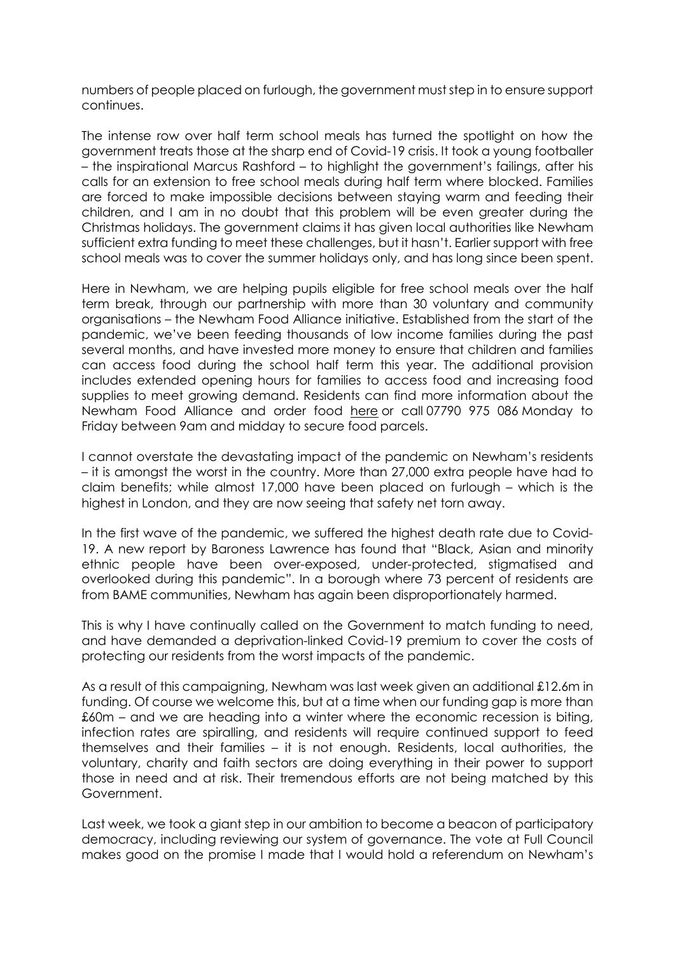numbers of people placed on furlough, the government must step in to ensure support continues.

The intense row over half term school meals has turned the spotlight on how the government treats those at the sharp end of Covid-19 crisis. It took a young footballer – the inspirational Marcus Rashford – to highlight the government's failings, after his calls for an extension to free school meals during half term where blocked. Families are forced to make impossible decisions between staying warm and feeding their children, and I am in no doubt that this problem will be even greater during the Christmas holidays. The government claims it has given local authorities like Newham sufficient extra funding to meet these challenges, but it hasn't. Earlier support with free school meals was to cover the summer holidays only, and has long since been spent.

Here in Newham, we are helping pupils eligible for free school meals over the half term break, through our partnership with more than 30 voluntary and community organisations – the Newham Food Alliance initiative. Established from the start of the pandemic, we've been feeding thousands of low income families during the past several months, and have invested more money to ensure that children and families can access food during the school half term this year. The additional provision includes extended opening hours for families to access food and increasing food supplies to meet growing demand. Residents can find more information about the Newham Food Alliance and order food [here](https://www.newham.gov.uk/coronavirus-covid-19/covid-19-support-vulnerable-high-risk-people/3) or call 07790 975 086 Monday to Friday between 9am and midday to secure food parcels.

I cannot overstate the devastating impact of the pandemic on Newham's residents – it is amongst the worst in the country. More than 27,000 extra people have had to claim benefits; while almost 17,000 have been placed on furlough – which is the highest in London, and they are now seeing that safety net torn away.

In the first wave of the pandemic, we suffered the highest death rate due to Covid-19. A new report by Baroness Lawrence has found that "Black, Asian and minority ethnic people have been over-exposed, under-protected, stigmatised and overlooked during this pandemic". In a borough where 73 percent of residents are from BAME communities, Newham has again been disproportionately harmed.

This is why I have continually called on the Government to match funding to need, and have demanded a deprivation-linked Covid-19 premium to cover the costs of protecting our residents from the worst impacts of the pandemic.

As a result of this campaigning, Newham was last week given an additional £12.6m in funding. Of course we welcome this, but at a time when our funding gap is more than £60m – and we are heading into a winter where the economic recession is biting, infection rates are spiralling, and residents will require continued support to feed themselves and their families – it is not enough. Residents, local authorities, the voluntary, charity and faith sectors are doing everything in their power to support those in need and at risk. Their tremendous efforts are not being matched by this Government.

Last week, we took a giant step in our ambition to become a beacon of participatory democracy, including reviewing our system of governance. The vote at Full Council makes good on the promise I made that I would hold a referendum on Newham's